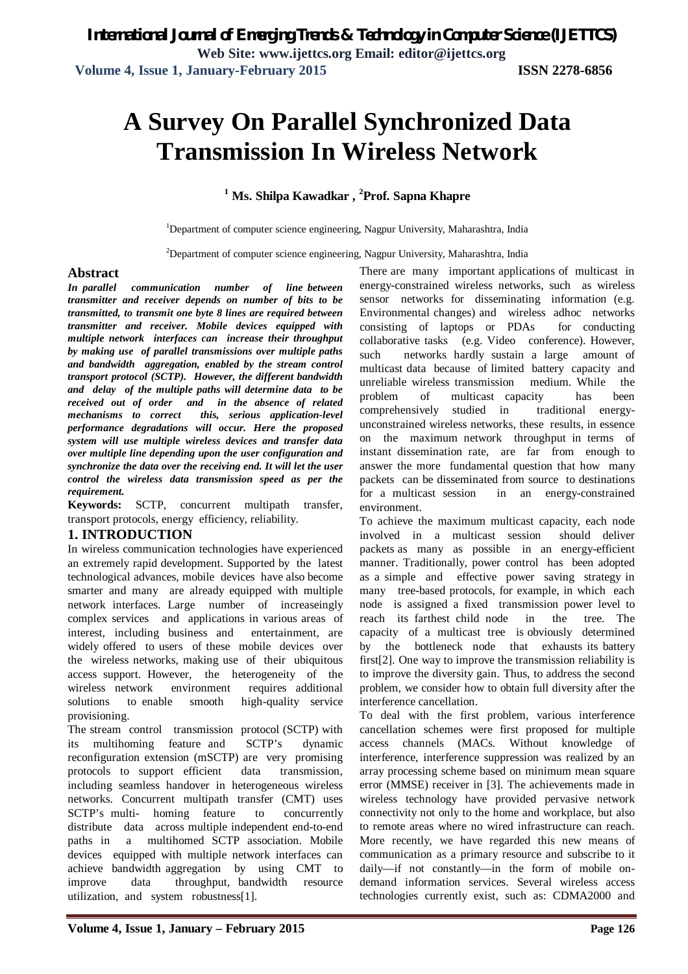# **A Survey On Parallel Synchronized Data Transmission In Wireless Network**

# **<sup>1</sup> Ms. Shilpa Kawadkar , <sup>2</sup>Prof. Sapna Khapre**

<sup>1</sup>Department of computer science engineering, Nagpur University, Maharashtra, India

<sup>2</sup>Department of computer science engineering, Nagpur University, Maharashtra, India

# **Abstract**

*In parallel communication number of line between transmitter and receiver depends on number of bits to be transmitted, to transmit one byte 8 lines are required between transmitter and receiver. Mobile devices equipped with multiple network interfaces can increase their throughput by making use of parallel transmissions over multiple paths and bandwidth aggregation, enabled by the stream control transport protocol (SCTP). However, the different bandwidth and delay of the multiple paths will determine data to be received out of order and in the absence of related mechanisms to correct this, serious application-level performance degradations will occur. Here the proposed system will use multiple wireless devices and transfer data over multiple line depending upon the user configuration and synchronize the data over the receiving end. It will let the user control the wireless data transmission speed as per the requirement.* 

**Keywords:** SCTP, concurrent multipath transfer, transport protocols, energy efficiency, reliability.

# **1. INTRODUCTION**

In wireless communication technologies have experienced an extremely rapid development. Supported by the latest technological advances, mobile devices have also become smarter and many are already equipped with multiple network interfaces. Large number of increaseingly complex services and applications in various areas of interest, including business and entertainment, are widely offered to users of these mobile devices over the wireless networks, making use of their ubiquitous access support. However, the heterogeneity of the wireless network environment requires additional solutions to enable smooth high-quality service provisioning.

The stream control transmission protocol (SCTP) with its multihoming feature and SCTP's dynamic reconfiguration extension (mSCTP) are very promising protocols to support efficient data transmission, including seamless handover in heterogeneous wireless networks. Concurrent multipath transfer (CMT) uses SCTP's multi- homing feature to concurrently distribute data across multiple independent end-to-end paths in a multihomed SCTP association. Mobile devices equipped with multiple network interfaces can achieve bandwidth aggregation by using CMT to improve data throughput, bandwidth resource utilization, and system robustness[1].

There are many important applications of multicast in energy-constrained wireless networks, such as wireless sensor networks for disseminating information (e.g. Environmental changes) and wireless adhoc networks consisting of laptops or PDAs for conducting collaborative tasks (e.g. Video conference). However, such networks hardly sustain a large amount of multicast data because of limited battery capacity and unreliable wireless transmission medium. While the problem of multicast capacity has been comprehensively studied in traditional energyunconstrained wireless networks, these results, in essence on the maximum network throughput in terms of instant dissemination rate, are far from enough to answer the more fundamental question that how many packets can be disseminated from source to destinations for a multicast session in an energy-constrained environment.

To achieve the maximum multicast capacity, each node involved in a multicast session should deliver packets as many as possible in an energy-efficient manner. Traditionally, power control has been adopted as a simple and effective power saving strategy in many tree-based protocols, for example, in which each node is assigned a fixed transmission power level to reach its farthest child node in the tree. The capacity of a multicast tree is obviously determined by the bottleneck node that exhausts its battery first[2]. One way to improve the transmission reliability is to improve the diversity gain. Thus, to address the second problem, we consider how to obtain full diversity after the interference cancellation.

To deal with the first problem, various interference cancellation schemes were first proposed for multiple access channels (MACs. Without knowledge of interference, interference suppression was realized by an array processing scheme based on minimum mean square error (MMSE) receiver in [3]. The achievements made in wireless technology have provided pervasive network connectivity not only to the home and workplace, but also to remote areas where no wired infrastructure can reach. More recently, we have regarded this new means of communication as a primary resource and subscribe to it daily—if not constantly—in the form of mobile ondemand information services. Several wireless access technologies currently exist, such as: CDMA2000 and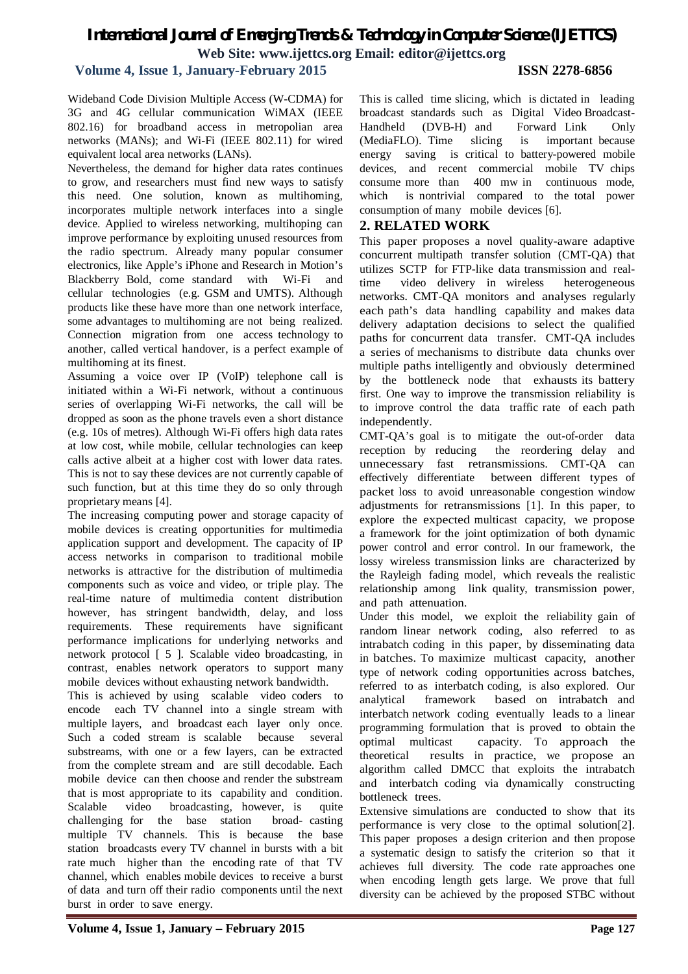# **Volume 4, Issue 1, January-February 2015 ISSN 2278-6856**

Wideband Code Division Multiple Access (W-CDMA) for 3G and 4G cellular communication WiMAX (IEEE 802.16) for broadband access in metropolian area networks (MANs); and Wi-Fi (IEEE 802.11) for wired equivalent local area networks (LANs).

Nevertheless, the demand for higher data rates continues to grow, and researchers must find new ways to satisfy this need. One solution, known as multihoming, incorporates multiple network interfaces into a single device. Applied to wireless networking, multihoping can improve performance by exploiting unused resources from the radio spectrum. Already many popular consumer electronics, like Apple's iPhone and Research in Motion's Blackberry Bold, come standard with Wi-Fi and cellular technologies (e.g. GSM and UMTS). Although products like these have more than one network interface, some advantages to multihoming are not being realized. Connection migration from one access technology to another, called vertical handover, is a perfect example of multihoming at its finest.

Assuming a voice over IP (VoIP) telephone call is initiated within a Wi-Fi network, without a continuous series of overlapping Wi-Fi networks, the call will be dropped as soon as the phone travels even a short distance (e.g. 10s of metres). Although Wi-Fi offers high data rates at low cost, while mobile, cellular technologies can keep calls active albeit at a higher cost with lower data rates. This is not to say these devices are not currently capable of such function, but at this time they do so only through proprietary means [4].

The increasing computing power and storage capacity of mobile devices is creating opportunities for multimedia application support and development. The capacity of IP access networks in comparison to traditional mobile networks is attractive for the distribution of multimedia components such as voice and video, or triple play. The real-time nature of multimedia content distribution however, has stringent bandwidth, delay, and loss requirements. These requirements have significant performance implications for underlying networks and network protocol [ 5 ]. Scalable video broadcasting, in contrast, enables network operators to support many mobile devices without exhausting network bandwidth.

This is achieved by using scalable video coders to encode each TV channel into a single stream with multiple layers, and broadcast each layer only once. Such a coded stream is scalable because several substreams, with one or a few layers, can be extracted from the complete stream and are still decodable. Each mobile device can then choose and render the substream that is most appropriate to its capability and condition. Scalable video broadcasting, however, is quite challenging for the base station broad- casting multiple TV channels. This is because the base station broadcasts every TV channel in bursts with a bit rate much higher than the encoding rate of that TV channel, which enables mobile devices to receive a burst of data and turn off their radio components until the next burst in order to save energy.

This is called time slicing, which is dictated in leading broadcast standards such as Digital Video Broadcast-Handheld (DVB-H) and Forward Link Only (MediaFLO). Time slicing is important because energy saving is critical to battery-powered mobile devices, and recent commercial mobile TV chips consume more than 400 mw in continuous mode, which is nontrivial compared to the total power consumption of many mobile devices [6].

# **2. RELATED WORK**

This paper proposes a novel quality-aware adaptive concurrent multipath transfer solution (CMT-QA) that utilizes SCTP for FTP-like data transmission and realtime video delivery in wireless heterogeneous networks. CMT-QA monitors and analyses regularly each path's data handling capability and makes data delivery adaptation decisions to select the qualified paths for concurrent data transfer. CMT-QA includes a series of mechanisms to distribute data chunks over multiple paths intelligently and obviously determined by the bottleneck node that exhausts its battery first. One way to improve the transmission reliability is to improve control the data traffic rate of each path independently.

CMT-QA's goal is to mitigate the out-of-order data reception by reducing the reordering delay and unnecessary fast retransmissions. CMT-QA can effectively differentiate between different types of packet loss to avoid unreasonable congestion window adjustments for retransmissions [1]. In this paper, to explore the expected multicast capacity, we propose a framework for the joint optimization of both dynamic power control and error control. In our framework, the lossy wireless transmission links are characterized by the Rayleigh fading model, which reveals the realistic relationship among link quality, transmission power, and path attenuation.

Under this model, we exploit the reliability gain of random linear network coding, also referred to as intrabatch coding in this paper, by disseminating data in batches. To maximize multicast capacity, another type of network coding opportunities across batches, referred to as interbatch coding, is also explored. Our analytical framework based on intrabatch and interbatch network coding eventually leads to a linear programming formulation that is proved to obtain the optimal multicast capacity. To approach the theoretical results in practice, we propose an algorithm called DMCC that exploits the intrabatch and interbatch coding via dynamically constructing bottleneck trees.

Extensive simulations are conducted to show that its performance is very close to the optimal solution[2]. This paper proposes a design criterion and then propose a systematic design to satisfy the criterion so that it achieves full diversity. The code rate approaches one when encoding length gets large. We prove that full diversity can be achieved by the proposed STBC without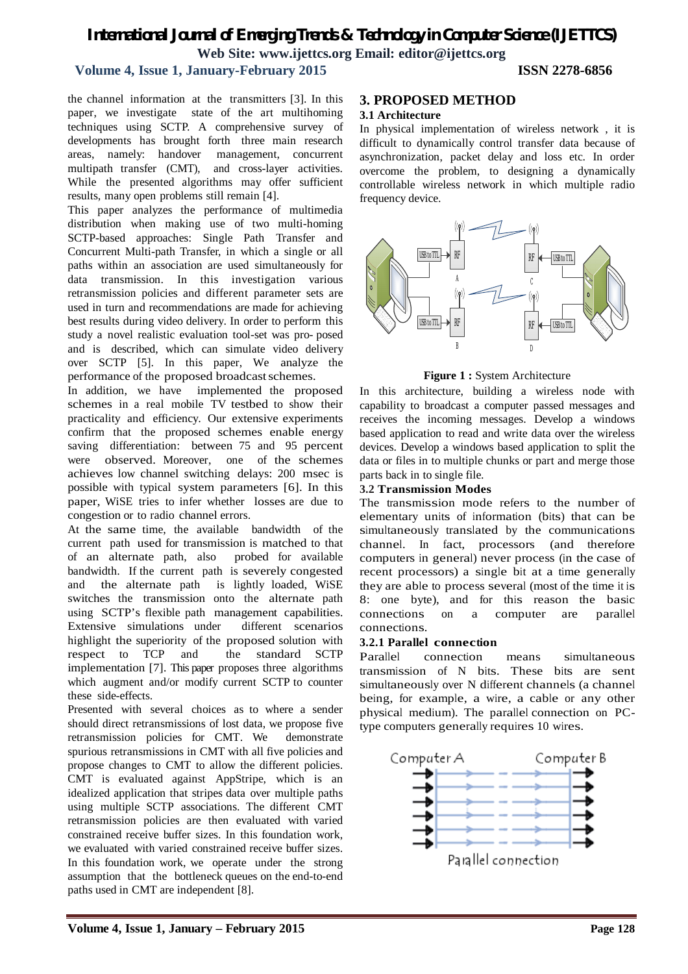# **Volume 4, Issue 1, January-February 2015 ISSN 2278-6856**

the channel information at the transmitters [3]. In this paper, we investigate state of the art multihoming techniques using SCTP. A comprehensive survey of developments has brought forth three main research areas, namely: handover management, concurrent multipath transfer (CMT), and cross-layer activities. While the presented algorithms may offer sufficient results, many open problems still remain [4].

This paper analyzes the performance of multimedia distribution when making use of two multi-homing SCTP-based approaches: Single Path Transfer and Concurrent Multi-path Transfer, in which a single or all paths within an association are used simultaneously for data transmission. In this investigation various retransmission policies and different parameter sets are used in turn and recommendations are made for achieving best results during video delivery. In order to perform this study a novel realistic evaluation tool-set was pro- posed and is described, which can simulate video delivery over SCTP [5]. In this paper, We analyze the performance of the proposed broadcast schemes.

In addition, we have implemented the proposed schemes in a real mobile TV testbed to show their practicality and efficiency. Our extensive experiments confirm that the proposed schemes enable energy saving differentiation: between 75 and 95 percent were observed. Moreover, one of the schemes achieves low channel switching delays: 200 msec is possible with typical system parameters [6]. In this paper, WiSE tries to infer whether losses are due to congestion or to radio channel errors.

At the same time, the available bandwidth of the current path used for transmission is matched to that of an alternate path, also probed for available bandwidth. If the current path is severely congested and the alternate path is lightly loaded, WiSE switches the transmission onto the alternate path using SCTP's flexible path management capabilities. Extensive simulations under different scenarios highlight the superiority of the proposed solution with respect to TCP and the standard SCTP implementation [7]. This paper proposes three algorithms which augment and/or modify current SCTP to counter these side-effects.

Presented with several choices as to where a sender should direct retransmissions of lost data, we propose five retransmission policies for CMT. We demonstrate spurious retransmissions in CMT with all five policies and propose changes to CMT to allow the different policies. CMT is evaluated against AppStripe, which is an idealized application that stripes data over multiple paths using multiple SCTP associations. The different CMT retransmission policies are then evaluated with varied constrained receive buffer sizes. In this foundation work, we evaluated with varied constrained receive buffer sizes. In this foundation work, we operate under the strong assumption that the bottleneck queues on the end-to-end paths used in CMT are independent [8].

# **Volume 4, Issue 1, January – February 2015 Page 128**

# **3. PROPOSED METHOD**

#### **3.1 Architecture**

In physical implementation of wireless network , it is difficult to dynamically control transfer data because of asynchronization, packet delay and loss etc. In order overcome the problem, to designing a dynamically controllable wireless network in which multiple radio frequency device.



**Figure 1 :** System Architecture

In this architecture, building a wireless node with capability to broadcast a computer passed messages and receives the incoming messages. Develop a windows based application to read and write data over the wireless devices. Develop a windows based application to split the data or files in to multiple chunks or part and merge those parts back in to single file.

### **3.2 Transmission Modes**

The transmission mode refers to the number of elementary units of information (bits) that can be simultaneously translated by the communications channel. In fact, processors (and therefore computers in general) never process (in the case of recent processors) a single bit at a time generally they are able to process several (most of the time it is 8: one byte), and for this reason the basic connections on a computer are parallel connections.

#### **3.2.1 Parallel connection**

Parallel connection means simultaneous transmission of N bits. These bits are sent simultaneously over N different channels (a channel being, for example, a wire, a cable or any other physical medium). The parallel connection on PCtype computers generally requires 10 wires.

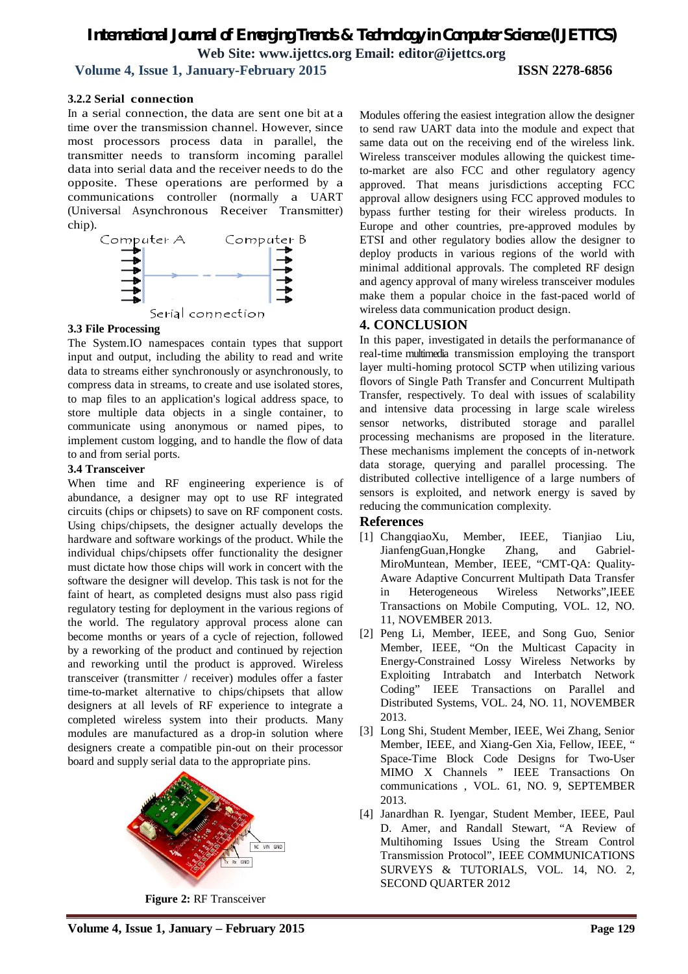**Volume 4, Issue 1, January-February 2015 ISSN 2278-6856**

#### **3.2.2 Serial connection**

In a serial connection, the data are sent one bit at a time over the transmission channel. However, since most processors process data in parallel, the transmitter needs to transform incoming parallel data into serial data and the receiver needs to do the opposite. These operations are performed by a communications controller (normally a UART (Universal Asynchronous Receiver Transmitter) chip).



#### **3.3 File Processing**

The System.IO namespaces contain types that support input and output, including the ability to read and write data to streams either synchronously or asynchronously, to compress data in streams, to create and use isolated stores, to map files to an application's logical address space, to store multiple data objects in a single container, to communicate using anonymous or named pipes, to implement custom logging, and to handle the flow of data to and from serial ports.

#### **3.4 Transceiver**

When time and RF engineering experience is of abundance, a designer may opt to use RF integrated circuits (chips or chipsets) to save on RF component costs. Using chips/chipsets, the designer actually develops the hardware and software workings of the product. While the individual chips/chipsets offer functionality the designer must dictate how those chips will work in concert with the software the designer will develop. This task is not for the faint of heart, as completed designs must also pass rigid regulatory testing for deployment in the various regions of the world. The regulatory approval process alone can become months or years of a cycle of rejection, followed by a reworking of the product and continued by rejection and reworking until the product is approved. Wireless transceiver (transmitter / receiver) modules offer a faster time-to-market alternative to chips/chipsets that allow designers at all levels of RF experience to integrate a completed wireless system into their products. Many modules are manufactured as a drop-in solution where designers create a compatible pin-out on their processor board and supply serial data to the appropriate pins.



**Figure 2:** RF Transceiver

Modules offering the easiest integration allow the designer to send raw UART data into the module and expect that same data out on the receiving end of the wireless link. Wireless transceiver modules allowing the quickest timeto-market are also FCC and other regulatory agency approved. That means jurisdictions accepting FCC approval allow designers using FCC approved modules to bypass further testing for their wireless products. In Europe and other countries, pre-approved modules by ETSI and other regulatory bodies allow the designer to deploy products in various regions of the world with minimal additional approvals. The completed RF design and agency approval of many wireless transceiver modules make them a popular choice in the fast-paced world of wireless data communication product design.

### **4. CONCLUSION**

In this paper, investigated in details the performanance of real-time multimedia transmission employing the transport layer multi-homing protocol SCTP when utilizing various flovors of Single Path Transfer and Concurrent Multipath Transfer, respectively. To deal with issues of scalability and intensive data processing in large scale wireless sensor networks, distributed storage and parallel processing mechanisms are proposed in the literature. These mechanisms implement the concepts of in-network data storage, querying and parallel processing. The distributed collective intelligence of a large numbers of sensors is exploited, and network energy is saved by reducing the communication complexity.

#### **References**

- [1] ChangqiaoXu, Member, IEEE, Tianjiao Liu, JianfengGuan,Hongke Zhang, and Gabriel-MiroMuntean, Member, IEEE, "CMT-QA: Quality-Aware Adaptive Concurrent Multipath Data Transfer in Heterogeneous Wireless Networks",IEEE Transactions on Mobile Computing, VOL. 12, NO. 11, NOVEMBER 2013.
- [2] Peng Li, Member, IEEE, and Song Guo, Senior Member, IEEE, "On the Multicast Capacity in Energy-Constrained Lossy Wireless Networks by Exploiting Intrabatch and Interbatch Network Coding" IEEE Transactions on Parallel and Distributed Systems, VOL. 24, NO. 11, NOVEMBER 2013.
- [3] Long Shi, Student Member, IEEE, Wei Zhang, Senior Member, IEEE, and Xiang-Gen Xia, Fellow, IEEE, " Space-Time Block Code Designs for Two-User MIMO X Channels " IEEE Transactions On communications , VOL. 61, NO. 9, SEPTEMBER 2013.
- [4] Janardhan R. Iyengar, Student Member, IEEE, Paul D. Amer, and Randall Stewart, "A Review of Multihoming Issues Using the Stream Control Transmission Protocol", IEEE COMMUNICATIONS SURVEYS & TUTORIALS, VOL. 14, NO. 2, SECOND QUARTER 2012